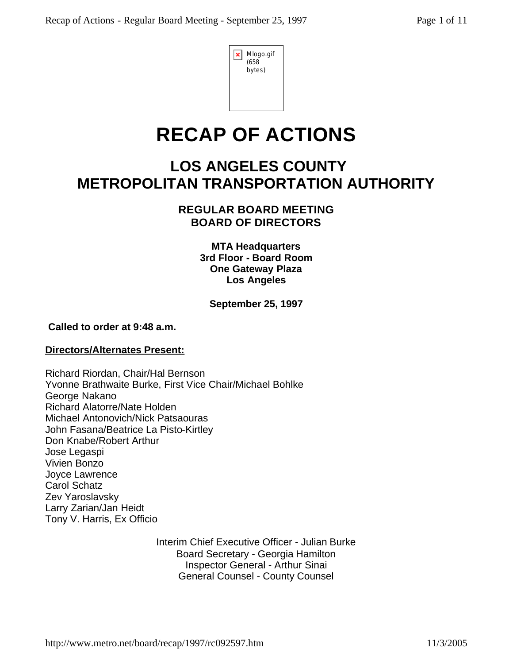| Mlogo.gif<br>(658)<br>bytes) |
|------------------------------|
|                              |

# **RECAP OF ACTIONS**

## **LOS ANGELES COUNTY METROPOLITAN TRANSPORTATION AUTHORITY**

## **REGULAR BOARD MEETING BOARD OF DIRECTORS**

**MTA Headquarters 3rd Floor - Board Room One Gateway Plaza Los Angeles**

**September 25, 1997** 

## **Called to order at 9:48 a.m.**

## **Directors/Alternates Present:**

Richard Riordan, Chair/Hal Bernson Yvonne Brathwaite Burke, First Vice Chair/Michael Bohlke George Nakano Richard Alatorre/Nate Holden Michael Antonovich/Nick Patsaouras John Fasana/Beatrice La Pisto-Kirtley Don Knabe/Robert Arthur Jose Legaspi Vivien Bonzo Joyce Lawrence Carol Schatz Zev Yaroslavsky Larry Zarian/Jan Heidt Tony V. Harris, Ex Officio

> Interim Chief Executive Officer - Julian Burke Board Secretary - Georgia Hamilton Inspector General - Arthur Sinai General Counsel - County Counsel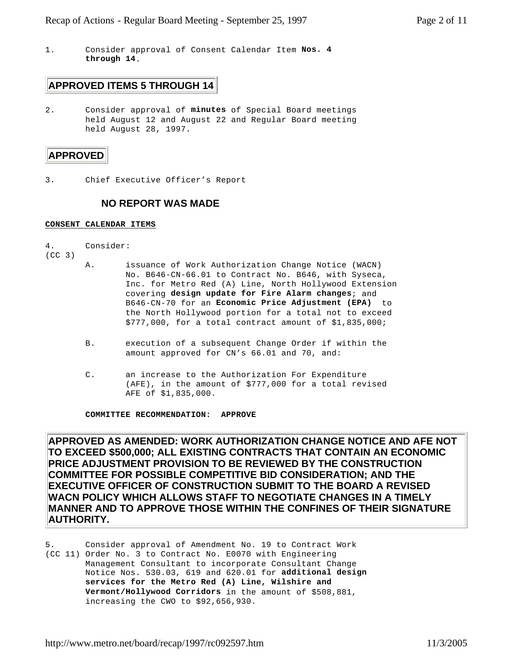1. Consider approval of Consent Calendar Item **Nos. 4 through 14**.

## **APPROVED ITEMS 5 THROUGH 14**

2. Consider approval of **minutes** of Special Board meetings held August 12 and August 22 and Regular Board meeting held August 28, 1997.

#### **APPROVED**

3. Chief Executive Officer's Report

### **NO REPORT WAS MADE**

#### **CONSENT CALENDAR ITEMS**

- 4. Consider:
- (CC 3)
- A. issuance of Work Authorization Change Notice (WACN) No. B646-CN-66.01 to Contract No. B646, with Syseca, Inc. for Metro Red (A) Line, North Hollywood Extension covering **design update for Fire Alarm changes**; and B646-CN-70 for an **Economic Price Adjustment (EPA)** to the North Hollywood portion for a total not to exceed \$777,000, for a total contract amount of \$1,835,000;
- B. execution of a subsequent Change Order if within the amount approved for CN's 66.01 and 70, and:
- C. an increase to the Authorization For Expenditure (AFE), in the amount of \$777,000 for a total revised AFE of \$1,835,000.

**COMMITTEE RECOMMENDATION: APPROVE**

**APPROVED AS AMENDED: WORK AUTHORIZATION CHANGE NOTICE AND AFE NOT TO EXCEED \$500,000; ALL EXISTING CONTRACTS THAT CONTAIN AN ECONOMIC PRICE ADJUSTMENT PROVISION TO BE REVIEWED BY THE CONSTRUCTION COMMITTEE FOR POSSIBLE COMPETITIVE BID CONSIDERATION; AND THE EXECUTIVE OFFICER OF CONSTRUCTION SUBMIT TO THE BOARD A REVISED WACN POLICY WHICH ALLOWS STAFF TO NEGOTIATE CHANGES IN A TIMELY MANNER AND TO APPROVE THOSE WITHIN THE CONFINES OF THEIR SIGNATURE AUTHORITY.** 

5. Consider approval of Amendment No. 19 to Contract Work (CC 11) Order No. 3 to Contract No. E0070 with Engineering Management Consultant to incorporate Consultant Change Notice Nos. 530.03, 619 and 620.01 for **additional design services for the Metro Red (A) Line, Wilshire and Vermont/Hollywood Corridors** in the amount of \$508,881, increasing the CWO to \$92,656,930.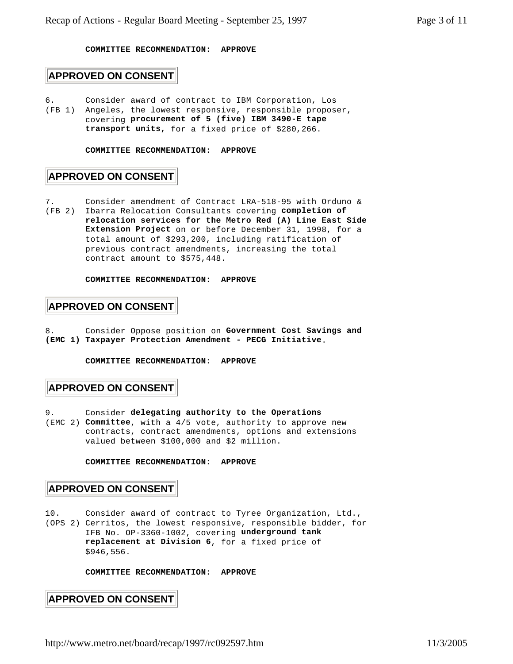#### **COMMITTEE RECOMMENDATION: APPROVE**

#### **APPROVED ON CONSENT**

- 6. Consider award of contract to IBM Corporation, Los
- (FB 1) Angeles, the lowest responsive, responsible proposer, covering **procurement of 5 (five) IBM 3490-E tape transport units,** for a fixed price of \$280,266.

#### **COMMITTEE RECOMMENDATION: APPROVE**

## **APPROVED ON CONSENT**

7. Consider amendment of Contract LRA-518-95 with Orduno & (FB 2) Ibarra Relocation Consultants covering **completion of relocation services for the Metro Red (A) Line East Side Extension Project** on or before December 31, 1998, for a total amount of \$293,200, including ratification of previous contract amendments, increasing the total contract amount to \$575,448.

**COMMITTEE RECOMMENDATION: APPROVE**

#### **APPROVED ON CONSENT**

8. Consider Oppose position on **Government Cost Savings and (EMC 1) Taxpayer Protection Amendment - PECG Initiative**.

**COMMITTEE RECOMMENDATION: APPROVE**

#### **APPROVED ON CONSENT**

9. Consider **delegating authority to the Operations** (EMC 2) **Committee**, with a 4/5 vote, authority to approve new contracts, contract amendments, options and extensions valued between \$100,000 and \$2 million.

**COMMITTEE RECOMMENDATION: APPROVE**

#### **APPROVED ON CONSENT**

10. Consider award of contract to Tyree Organization, Ltd., (OPS 2) Cerritos, the lowest responsive, responsible bidder, for IFB No. OP-3360-1002, covering **underground tank replacement at Division 6**, for a fixed price of \$946,556.

**COMMITTEE RECOMMENDATION: APPROVE**

**APPROVED ON CONSENT**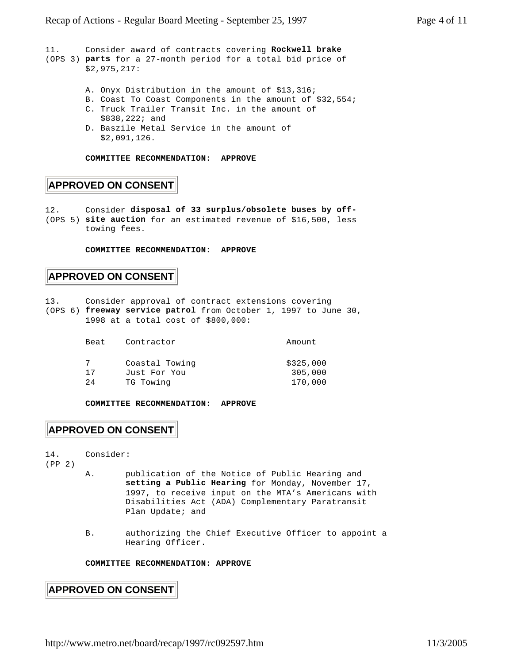```
11. Consider award of contracts covering Rockwell brake
(OPS 3) parts for a 27-month period for a total bid price of
        $2,975,217:
        A. Onyx Distribution in the amount of $13,316;
        B. Coast To Coast Components in the amount of $32,554;
        C. Truck Trailer Transit Inc. in the amount of 
            $838,222; and
        D. Baszile Metal Service in the amount of 
            $2,091,126.
```
**COMMITTEE RECOMMENDATION: APPROVE**

## **APPROVED ON CONSENT**

12. Consider **disposal of 33 surplus/obsolete buses by off-** (OPS 5) **site auction** for an estimated revenue of \$16,500, less towing fees.

**COMMITTEE RECOMMENDATION: APPROVE**

#### **APPROVED ON CONSENT**

- 13. Consider approval of contract extensions covering
- (OPS 6) **freeway service patrol** from October 1, 1997 to June 30, 1998 at a total cost of \$800,000:

| Beat | Contractor     | Amount    |  |
|------|----------------|-----------|--|
|      | Coastal Towing | \$325,000 |  |
| 17   | Just For You   | 305,000   |  |
| 24   | TG Towing      | 170,000   |  |

**COMMITTEE RECOMMENDATION: APPROVE**

## **APPROVED ON CONSENT**

14. Consider:

(PP 2)

- A. publication of the Notice of Public Hearing and **setting a Public Hearing** for Monday, November 17, 1997, to receive input on the MTA's Americans with Disabilities Act (ADA) Complementary Paratransit Plan Update; and
- B. authorizing the Chief Executive Officer to appoint a Hearing Officer.

#### **COMMITTEE RECOMMENDATION: APPROVE**

#### **APPROVED ON CONSENT**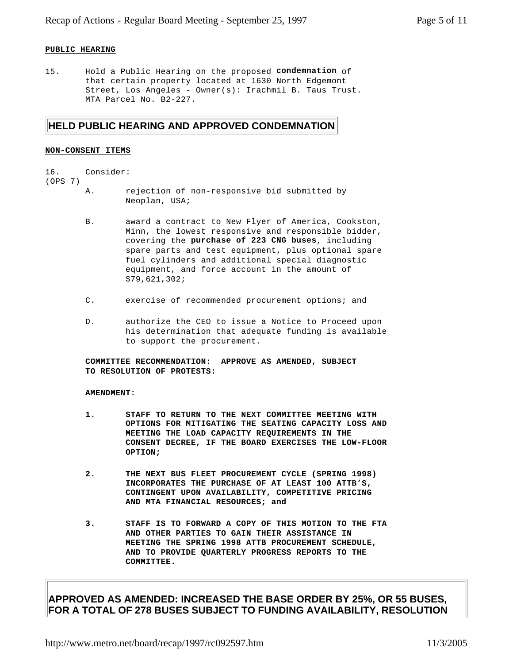#### **PUBLIC HEARING**

15. Hold a Public Hearing on the proposed **condemnation** of that certain property located at 1630 North Edgemont Street, Los Angeles - Owner(s): Irachmil B. Taus Trust. MTA Parcel No. B2-227.

#### **HELD PUBLIC HEARING AND APPROVED CONDEMNATION**

#### **NON-CONSENT ITEMS**

#### 16. Consider:

#### (OPS 7)

- A. rejection of non-responsive bid submitted by Neoplan, USA;
- B. award a contract to New Flyer of America, Cookston, Minn, the lowest responsive and responsible bidder, covering the **purchase of 223 CNG buses**, including spare parts and test equipment, plus optional spare fuel cylinders and additional special diagnostic equipment, and force account in the amount of \$79,621,302;
- C. exercise of recommended procurement options; and
- D. authorize the CEO to issue a Notice to Proceed upon his determination that adequate funding is available to support the procurement.

**COMMITTEE RECOMMENDATION: APPROVE AS AMENDED, SUBJECT TO RESOLUTION OF PROTESTS:**

#### **AMENDMENT:**

- **1. STAFF TO RETURN TO THE NEXT COMMITTEE MEETING WITH OPTIONS FOR MITIGATING THE SEATING CAPACITY LOSS AND MEETING THE LOAD CAPACITY REQUIREMENTS IN THE CONSENT DECREE, IF THE BOARD EXERCISES THE LOW-FLOOR OPTION;**
- **2. THE NEXT BUS FLEET PROCUREMENT CYCLE (SPRING 1998) INCORPORATES THE PURCHASE OF AT LEAST 100 ATTB'S, CONTINGENT UPON AVAILABILITY, COMPETITIVE PRICING AND MTA FINANCIAL RESOURCES; and**
- **3. STAFF IS TO FORWARD A COPY OF THIS MOTION TO THE FTA AND OTHER PARTIES TO GAIN THEIR ASSISTANCE IN MEETING THE SPRING 1998 ATTB PROCUREMENT SCHEDULE, AND TO PROVIDE QUARTERLY PROGRESS REPORTS TO THE COMMITTEE.**

#### **APPROVED AS AMENDED: INCREASED THE BASE ORDER BY 25%, OR 55 BUSES, FOR A TOTAL OF 278 BUSES SUBJECT TO FUNDING AVAILABILITY, RESOLUTION**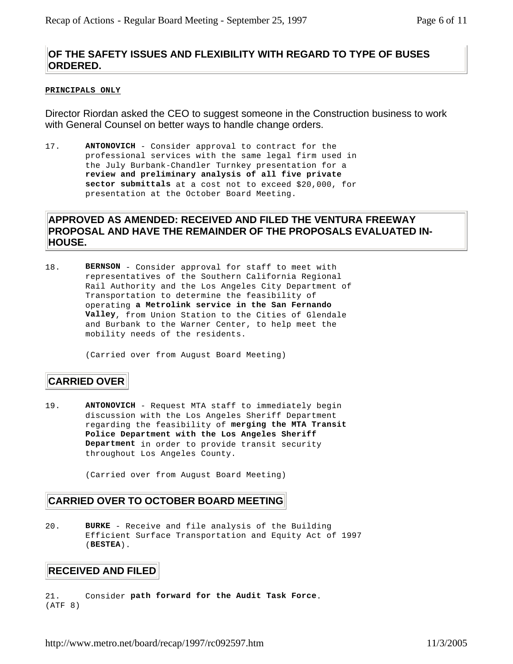## **OF THE SAFETY ISSUES AND FLEXIBILITY WITH REGARD TO TYPE OF BUSES ORDERED.**

#### **PRINCIPALS ONLY**

Director Riordan asked the CEO to suggest someone in the Construction business to work with General Counsel on better ways to handle change orders.

17. **ANTONOVICH** - Consider approval to contract for the professional services with the same legal firm used in the July Burbank-Chandler Turnkey presentation for a **review and preliminary analysis of all five private sector submittals** at a cost not to exceed \$20,000, for presentation at the October Board Meeting.

### **APPROVED AS AMENDED: RECEIVED AND FILED THE VENTURA FREEWAY PROPOSAL AND HAVE THE REMAINDER OF THE PROPOSALS EVALUATED IN-HOUSE.**

18. **BERNSON** - Consider approval for staff to meet with representatives of the Southern California Regional Rail Authority and the Los Angeles City Department of Transportation to determine the feasibility of operating **a Metrolink service in the San Fernando Valley**, from Union Station to the Cities of Glendale and Burbank to the Warner Center, to help meet the mobility needs of the residents.

(Carried over from August Board Meeting)

#### **CARRIED OVER**

19. **ANTONOVICH** - Request MTA staff to immediately begin discussion with the Los Angeles Sheriff Department regarding the feasibility of **merging the MTA Transit Police Department with the Los Angeles Sheriff Department** in order to provide transit security throughout Los Angeles County.

(Carried over from August Board Meeting)

#### **CARRIED OVER TO OCTOBER BOARD MEETING**

20. **BURKE** - Receive and file analysis of the Building Efficient Surface Transportation and Equity Act of 1997 (**BESTEA**).

#### **RECEIVED AND FILED**

21. Consider **path forward for the Audit Task Force**. (ATF 8)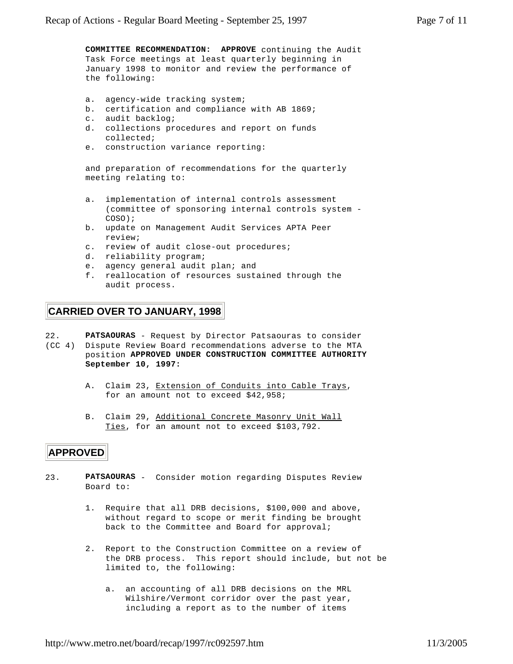**COMMITTEE RECOMMENDATION: APPROVE** continuing the Audit Task Force meetings at least quarterly beginning in January 1998 to monitor and review the performance of the following:

- a. agency-wide tracking system;
- b. certification and compliance with AB 1869;
- c. audit backlog;
- d. collections procedures and report on funds collected;
- e. construction variance reporting:

and preparation of recommendations for the quarterly meeting relating to:

- a. implementation of internal controls assessment (committee of sponsoring internal controls system - COSO);
- b. update on Management Audit Services APTA Peer review;
- c. review of audit close-out procedures;
- d. reliability program;
- e. agency general audit plan; and
- f. reallocation of resources sustained through the audit process.

## **CARRIED OVER TO JANUARY, 1998**

22. **PATSAOURAS** - Request by Director Patsaouras to consider

(CC 4) Dispute Review Board recommendations adverse to the MTA position **APPROVED UNDER CONSTRUCTION COMMITTEE AUTHORITY September 10, 1997:**

- A. Claim 23, Extension of Conduits into Cable Trays, for an amount not to exceed \$42,958;
- B. Claim 29, Additional Concrete Masonry Unit Wall Ties, for an amount not to exceed \$103,792.

## **APPROVED**

- 23. **PATSAOURAS** Consider motion regarding Disputes Review Board to:
	- 1. Require that all DRB decisions, \$100,000 and above, without regard to scope or merit finding be brought back to the Committee and Board for approval;
	- 2. Report to the Construction Committee on a review of the DRB process. This report should include, but not be limited to, the following:
		- a. an accounting of all DRB decisions on the MRL Wilshire/Vermont corridor over the past year, including a report as to the number of items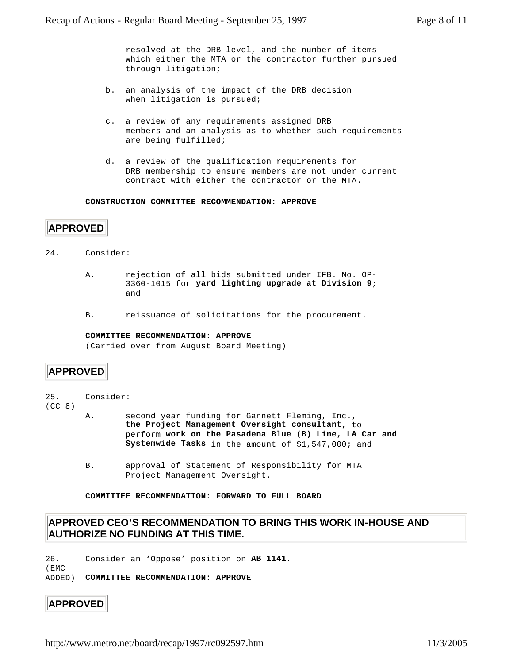resolved at the DRB level, and the number of items which either the MTA or the contractor further pursued through litigation;

- b. an analysis of the impact of the DRB decision when litigation is pursued;
- c. a review of any requirements assigned DRB members and an analysis as to whether such requirements are being fulfilled;
- d. a review of the qualification requirements for DRB membership to ensure members are not under current contract with either the contractor or the MTA.

#### **CONSTRUCTION COMMITTEE RECOMMENDATION: APPROVE**

#### **APPROVED**

24. Consider:

- A. rejection of all bids submitted under IFB. No. OP-3360-1015 for **yard lighting upgrade at Division 9**; and
- B. reissuance of solicitations for the procurement.

#### **COMMITTEE RECOMMENDATION: APPROVE**

(Carried over from August Board Meeting)

#### **APPROVED**

25. Consider:

(CC 8)

- A. second year funding for Gannett Fleming, Inc., **the Project Management Oversight consultant**, to perform **work on the Pasadena Blue (B) Line, LA Car and Systemwide Tasks** in the amount of \$1,547,000; and
- B. approval of Statement of Responsibility for MTA Project Management Oversight.

**COMMITTEE RECOMMENDATION: FORWARD TO FULL BOARD**

#### **APPROVED CEO'S RECOMMENDATION TO BRING THIS WORK IN-HOUSE AND AUTHORIZE NO FUNDING AT THIS TIME.**

26. Consider an 'Oppose' position on **AB 1141**.

ADDED) **COMMITTEE RECOMMENDATION: APPROVE**

#### **APPROVED**

(EMC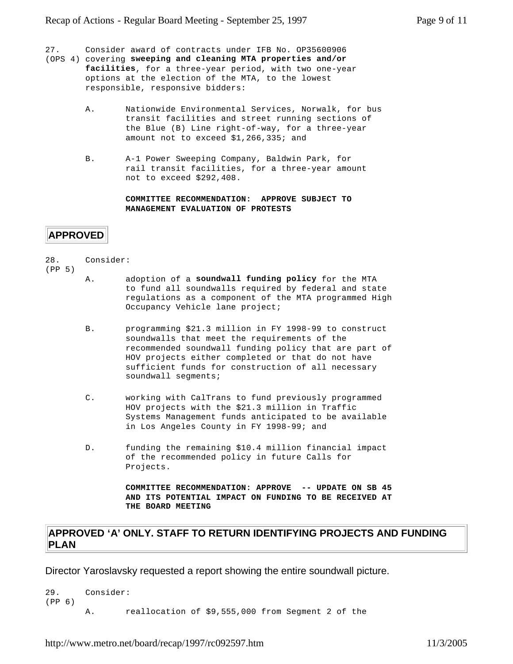27. Consider award of contracts under IFB No. OP35600906

- (OPS 4) covering **sweeping and cleaning MTA properties and/or facilities**, for a three-year period, with two one-year options at the election of the MTA, to the lowest responsible, responsive bidders:
	- A. Nationwide Environmental Services, Norwalk, for bus transit facilities and street running sections of the Blue (B) Line right-of-way, for a three-year amount not to exceed \$1,266,335; and
	- B. A-1 Power Sweeping Company, Baldwin Park, for rail transit facilities, for a three-year amount not to exceed \$292,408.

**COMMITTEE RECOMMENDATION: APPROVE SUBJECT TO MANAGEMENT EVALUATION OF PROTESTS**

#### **APPROVED**

28. Consider:

(PP 5)

- A. adoption of a **soundwall funding policy** for the MTA to fund all soundwalls required by federal and state regulations as a component of the MTA programmed High Occupancy Vehicle lane project;
- B. programming \$21.3 million in FY 1998-99 to construct soundwalls that meet the requirements of the recommended soundwall funding policy that are part of HOV projects either completed or that do not have sufficient funds for construction of all necessary soundwall segments;
- C. working with CalTrans to fund previously programmed HOV projects with the \$21.3 million in Traffic Systems Management funds anticipated to be available in Los Angeles County in FY 1998-99; and
- D. funding the remaining \$10.4 million financial impact of the recommended policy in future Calls for Projects.

**COMMITTEE RECOMMENDATION: APPROVE -- UPDATE ON SB 45 AND ITS POTENTIAL IMPACT ON FUNDING TO BE RECEIVED AT THE BOARD MEETING**

#### **APPROVED 'A' ONLY. STAFF TO RETURN IDENTIFYING PROJECTS AND FUNDING PLAN**

Director Yaroslavsky requested a report showing the entire soundwall picture.

```
29. Consider:
(PP 6)
       A. reallocation of $9,555,000 from Segment 2 of the
```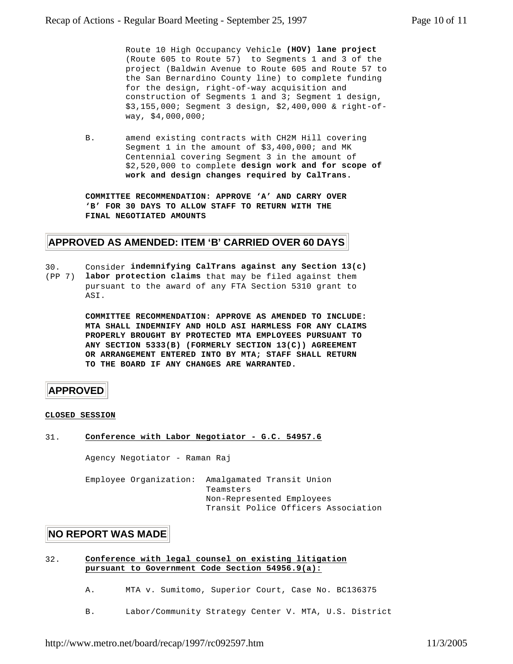Route 10 High Occupancy Vehicle **(HOV) lane project** (Route 605 to Route 57) to Segments 1 and 3 of the project (Baldwin Avenue to Route 605 and Route 57 to the San Bernardino County line) to complete funding for the design, right-of-way acquisition and construction of Segments 1 and 3; Segment 1 design, \$3,155,000; Segment 3 design, \$2,400,000 & right-ofway, \$4,000,000;

B. amend existing contracts with CH2M Hill covering Segment 1 in the amount of \$3,400,000; and MK Centennial covering Segment 3 in the amount of \$2,520,000 to complete **design work and for scope of work and design changes required by CalTrans.**

**COMMITTEE RECOMMENDATION: APPROVE 'A' AND CARRY OVER 'B' FOR 30 DAYS TO ALLOW STAFF TO RETURN WITH THE FINAL NEGOTIATED AMOUNTS**

#### **APPROVED AS AMENDED: ITEM 'B' CARRIED OVER 60 DAYS**

30. Consider **indemnifying CalTrans against any Section 13(c)** (PP 7) **labor protection claims** that may be filed against them pursuant to the award of any FTA Section 5310 grant to **AST** 

> **COMMITTEE RECOMMENDATION: APPROVE AS AMENDED TO INCLUDE: MTA SHALL INDEMNIFY AND HOLD ASI HARMLESS FOR ANY CLAIMS PROPERLY BROUGHT BY PROTECTED MTA EMPLOYEES PURSUANT TO ANY SECTION 5333(B) (FORMERLY SECTION 13(C)) AGREEMENT OR ARRANGEMENT ENTERED INTO BY MTA; STAFF SHALL RETURN TO THE BOARD IF ANY CHANGES ARE WARRANTED.**

#### **APPROVED**

#### **CLOSED SESSION**

31. **Conference with Labor Negotiator - G.C. 54957.6**

Agency Negotiator - Raman Raj

Employee Organization: Amalgamated Transit Union Teamsters Non-Represented Employees Transit Police Officers Association

#### **NO REPORT WAS MADE**

- 32. **Conference with legal counsel on existing litigation pursuant to Government Code Section 54956.9(a):**
	- A. MTA v. Sumitomo, Superior Court, Case No. BC136375
	- B. Labor/Community Strategy Center V. MTA, U.S. District